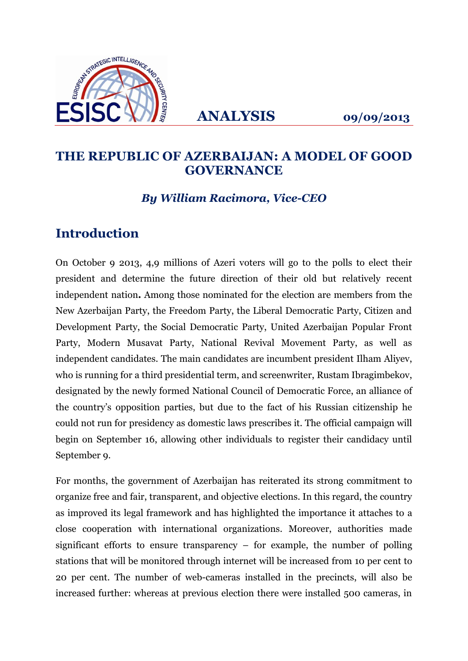

**ANALYSIS 09/09/2013**

#### **THE REPUBLIC OF AZERBAIJAN: A MODEL OF GOOD GOVERNANCE**

#### *By William Racimora, Vice-CEO*

## **Introduction**

On October 9 2013, 4,9 millions of Azeri voters will go to the polls to elect their president and determine the future direction of their old but relatively recent independent nation**.** Among those nominated for the election are members from the New Azerbaijan Party, the Freedom Party, the Liberal Democratic Party, Citizen and Development Party, the Social Democratic Party, United Azerbaijan Popular Front Party, Modern Musavat Party, National Revival Movement Party, as well as independent candidates. The main candidates are incumbent president Ilham Aliyev, who is running for a third presidential term, and screenwriter, Rustam Ibragimbekov, designated by the newly formed National Council of Democratic Force, an alliance of the country's opposition parties, but due to the fact of his Russian citizenship he could not run for presidency as domestic laws prescribes it. The official campaign will begin on September 16, allowing other individuals to register their candidacy until September 9.

For months, the government of Azerbaijan has reiterated its strong commitment to organize free and fair, transparent, and objective elections. In this regard, the country as improved its legal framework and has highlighted the importance it attaches to a close cooperation with international organizations. Moreover, authorities made significant efforts to ensure transparency – for example, the number of polling stations that will be monitored through internet will be increased from 10 per cent to 20 per cent. The number of web-cameras installed in the precincts, will also be increased further: whereas at previous election there were installed 500 cameras, in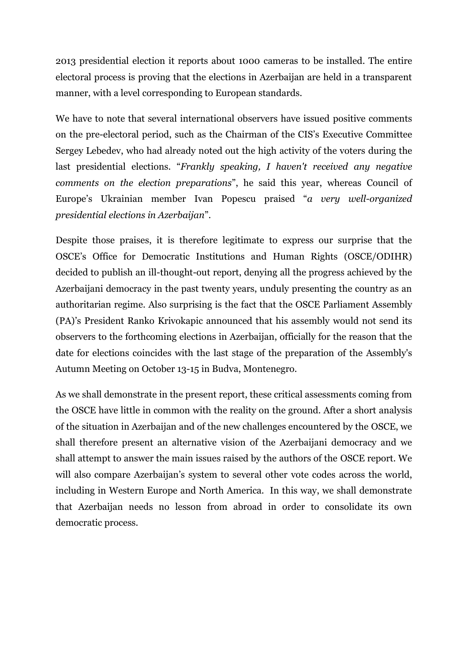2013 presidential election it reports about 1000 cameras to be installed. The entire electoral process is proving that the elections in Azerbaijan are held in a transparent manner, with a level corresponding to European standards.

We have to note that several international observers have issued positive comments on the pre-electoral period, such as the Chairman of the CIS's Executive Committee Sergey Lebedev, who had already noted out the high activity of the voters during the last presidential elections. "*Frankly speaking, I haven't received any negative comments on the election preparations*", he said this year, whereas Council of Europe's Ukrainian member Ivan Popescu praised "*a very well-organized presidential elections in Azerbaijan*".

Despite those praises, it is therefore legitimate to express our surprise that the OSCE's Office for Democratic Institutions and Human Rights (OSCE/ODIHR) decided to publish an ill-thought-out report, denying all the progress achieved by the Azerbaijani democracy in the past twenty years, unduly presenting the country as an authoritarian regime. Also surprising is the fact that the OSCE Parliament Assembly (PA)'s President Ranko Krivokapic announced that his assembly would not send its observers to the forthcoming elections in Azerbaijan, officially for the reason that the date for elections coincides with the last stage of the preparation of the Assembly's Autumn Meeting on October 13-15 in Budva, Montenegro.

As we shall demonstrate in the present report, these critical assessments coming from the OSCE have little in common with the reality on the ground. After a short analysis of the situation in Azerbaijan and of the new challenges encountered by the OSCE, we shall therefore present an alternative vision of the Azerbaijani democracy and we shall attempt to answer the main issues raised by the authors of the OSCE report. We will also compare Azerbaijan's system to several other vote codes across the world, including in Western Europe and North America. In this way, we shall demonstrate that Azerbaijan needs no lesson from abroad in order to consolidate its own democratic process.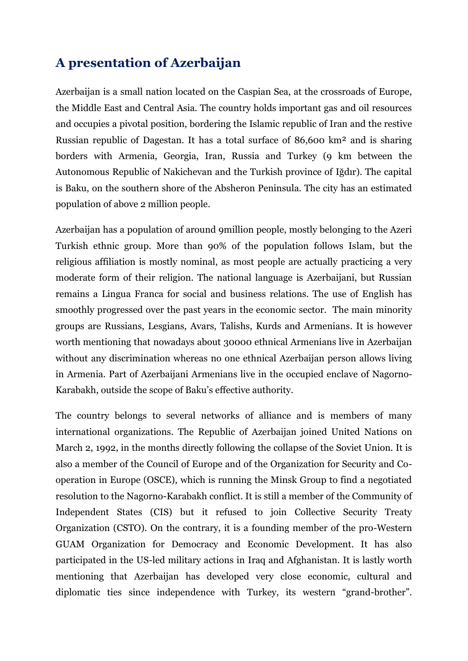### **A presentation of Azerbaijan**

Azerbaijan is a small nation located on the Caspian Sea, at the crossroads of Europe, the Middle East and Central Asia. The country holds important gas and oil resources and occupies a pivotal position, bordering the Islamic republic of Iran and the restive Russian republic of Dagestan. It has a total surface of 86,600 km² and is sharing borders with Armenia, Georgia, Iran, Russia and Turkey (9 km between the Autonomous Republic of Nakichevan and the Turkish province of Iğdır). The capital is Baku, on the southern shore of the Absheron Peninsula. The city has an estimated population of above 2 million people.

Azerbaijan has a population of around 9million people, mostly belonging to the Azeri Turkish ethnic group. More than 90% of the population follows Islam, but the religious affiliation is mostly nominal, as most people are actually practicing a very moderate form of their religion. The national language is Azerbaijani, but Russian remains a Lingua Franca for social and business relations. The use of English has smoothly progressed over the past years in the economic sector. The main minority groups are Russians, Lesgians, Avars, Talishs, Kurds and Armenians. It is however worth mentioning that nowadays about 30000 ethnical Armenians live in Azerbaijan without any discrimination whereas no one ethnical Azerbaijan person allows living in Armenia. Part of Azerbaijani Armenians live in the occupied enclave of Nagorno-Karabakh, outside the scope of Baku's effective authority.

The country belongs to several networks of alliance and is members of many international organizations. The Republic of Azerbaijan joined United Nations on March 2, 1992, in the months directly following the collapse of the Soviet Union. It is also a member of the Council of Europe and of the Organization for Security and Cooperation in Europe (OSCE), which is running the Minsk Group to find a negotiated resolution to the Nagorno-Karabakh conflict. It is still a member of the Community of Independent States (CIS) but it refused to join Collective Security Treaty Organization (CSTO). On the contrary, it is a founding member of the pro-Western GUAM Organization for Democracy and Economic Development. It has also participated in the US-led military actions in Iraq and Afghanistan. It is lastly worth mentioning that Azerbaijan has developed very close economic, cultural and diplomatic ties since independence with Turkey, its western "grand-brother".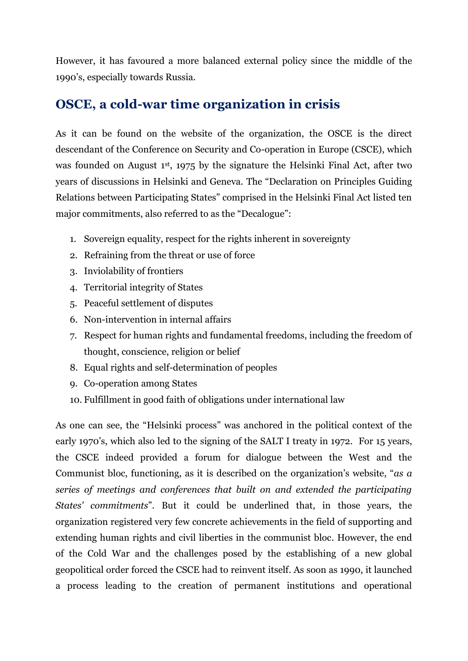However, it has favoured a more balanced external policy since the middle of the 1990's, especially towards Russia.

## **OSCE, a cold-war time organization in crisis**

As it can be found on the website of the organization, the OSCE is the direct descendant of the Conference on Security and Co-operation in Europe (CSCE), which was founded on August 1<sup>st</sup>, 1975 by the signature the Helsinki Final Act, after two years of discussions in Helsinki and Geneva. The "Declaration on Principles Guiding Relations between Participating States" comprised in the Helsinki Final Act listed ten major commitments, also referred to as the "Decalogue":

- 1. Sovereign equality, respect for the rights inherent in sovereignty
- 2. Refraining from the threat or use of force
- 3. Inviolability of frontiers
- 4. Territorial integrity of States
- 5. Peaceful settlement of disputes
- 6. Non-intervention in internal affairs
- 7. Respect for human rights and fundamental freedoms, including the freedom of thought, conscience, religion or belief
- 8. Equal rights and self-determination of peoples
- 9. Co-operation among States
- 10. Fulfillment in good faith of obligations under international law

As one can see, the "Helsinki process" was anchored in the political context of the early 1970's, which also led to the signing of the SALT I treaty in 1972. For 15 years, the CSCE indeed provided a forum for dialogue between the West and the Communist bloc, functioning, as it is described on the organization's website, "*as a series of meetings and conferences that built on and extended the participating States' commitments*". But it could be underlined that, in those years, the organization registered very few concrete achievements in the field of supporting and extending human rights and civil liberties in the communist bloc. However, the end of the Cold War and the challenges posed by the establishing of a new global geopolitical order forced the CSCE had to reinvent itself. As soon as 1990, it launched a process leading to the creation of permanent institutions and operational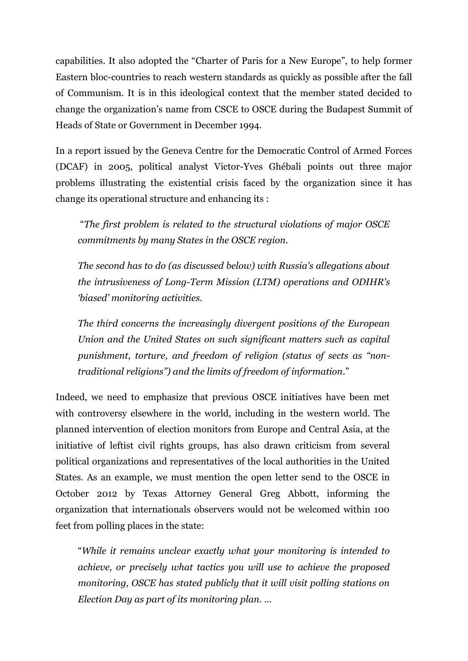capabilities. It also adopted the "Charter of Paris for a New Europe", to help former Eastern bloc-countries to reach western standards as quickly as possible after the fall of Communism. It is in this ideological context that the member stated decided to change the organization's name from CSCE to OSCE during the Budapest Summit of Heads of State or Government in December 1994.

In a report issued by the Geneva Centre for the Democratic Control of Armed Forces (DCAF) in 2005, political analyst Victor-Yves Ghébali points out three major problems illustrating the existential crisis faced by the organization since it has change its operational structure and enhancing its :

"*The first problem is related to the structural violations of major OSCE commitments by many States in the OSCE region.*

*The second has to do (as discussed below) with Russia's allegations about the intrusiveness of Long-Term Mission (LTM) operations and ODIHR's 'biased' monitoring activities.* 

*The third concerns the increasingly divergent positions of the European Union and the United States on such significant matters such as capital punishment, torture, and freedom of religion (status of sects as "nontraditional religions") and the limits of freedom of information*."

Indeed, we need to emphasize that previous OSCE initiatives have been met with controversy elsewhere in the world, including in the western world. The planned intervention of election monitors from Europe and Central Asia, at the initiative of leftist civil rights groups, has also drawn criticism from several political organizations and representatives of the local authorities in the United States. As an example, we must mention the open letter send to the OSCE in October 2012 by Texas Attorney General Greg Abbott, informing the organization that internationals observers would not be welcomed within 100 feet from polling places in the state:

"*While it remains unclear exactly what your monitoring is intended to achieve, or precisely what tactics you will use to achieve the proposed monitoring, OSCE has stated publicly that it will visit polling stations on Election Day as part of its monitoring plan. ...*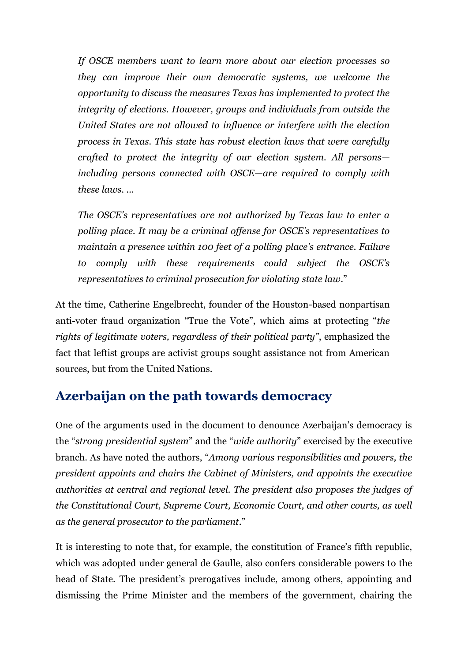*If OSCE members want to learn more about our election processes so they can improve their own democratic systems, we welcome the opportunity to discuss the measures Texas has implemented to protect the integrity of elections. However, groups and individuals from outside the United States are not allowed to influence or interfere with the election process in Texas. This state has robust election laws that were carefully crafted to protect the integrity of our election system. All persons including persons connected with OSCE—are required to comply with these laws. ...*

*The OSCE's representatives are not authorized by Texas law to enter a polling place. It may be a criminal offense for OSCE's representatives to maintain a presence within 100 feet of a polling place's entrance. Failure to comply with these requirements could subject the OSCE's representatives to criminal prosecution for violating state law*."

At the time, Catherine Engelbrecht, founder of the Houston-based nonpartisan anti-voter fraud organization "True the Vote", which aims at protecting "*the rights of legitimate voters, regardless of their political party"*, emphasized the fact that leftist groups are activist groups sought assistance not from American sources, but from the United Nations.

### **Azerbaijan on the path towards democracy**

One of the arguments used in the document to denounce Azerbaijan's democracy is the "*strong presidential system*" and the "*wide authority*" exercised by the executive branch. As have noted the authors, "*Among various responsibilities and powers, the president appoints and chairs the Cabinet of Ministers, and appoints the executive authorities at central and regional level. The president also proposes the judges of the Constitutional Court, Supreme Court, Economic Court, and other courts, as well as the general prosecutor to the parliament*."

It is interesting to note that, for example, the constitution of France's fifth republic, which was adopted under general de Gaulle, also confers considerable powers to the head of State. The president's prerogatives include, among others, appointing and dismissing the Prime Minister and the members of the government, chairing the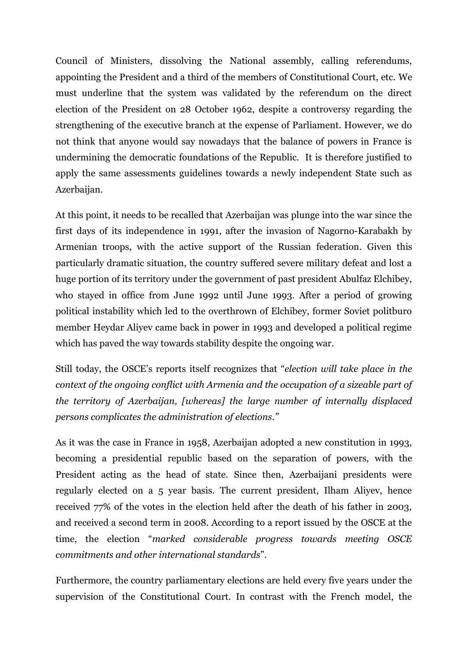Council of Ministers, dissolving the National assembly, calling referendums, appointing the President and a third of the members of Constitutional Court, etc. We must underline that the system was validated by the referendum on the direct election of the President on 28 October 1962, despite a controversy regarding the strengthening of the executive branch at the expense of Parliament. However, we do not think that anyone would say nowadays that the balance of powers in France is undermining the democratic foundations of the Republic. It is therefore justified to apply the same assessments guidelines towards a newly independent State such as Azerbaijan.

At this point, it needs to be recalled that Azerbaijan was plunge into the war since the first days of its independence in 1991, after the invasion of Nagorno-Karabakh by Armenian troops, with the active support of the Russian federation. Given this particularly dramatic situation, the country suffered severe military defeat and lost a huge portion of its territory under the government of past president Abulfaz Elchibey, who stayed in office from June 1992 until June 1993. After a period of growing political instability which led to the overthrown of Elchibey, former Soviet politburo member Heydar Aliyev came back in power in 1993 and developed a political regime which has paved the way towards stability despite the ongoing war.

Still today, the OSCE's reports itself recognizes that "*election will take place in the context of the ongoing conflict with Armenia and the occupation of a sizeable part of the territory of Azerbaijan, [whereas] the large number of internally displaced persons complicates the administration of elections."*

As it was the case in France in 1958, Azerbaijan adopted a new constitution in 1993, becoming a presidential republic based on the separation of powers, with the President acting as the head of state. Since then, Azerbaijani presidents were regularly elected on a 5 year basis. The current president, Ilham Aliyev, hence received 77% of the votes in the election held after the death of his father in 2003, and received a second term in 2008. According to a report issued by the OSCE at the time, the election "*marked considerable progress towards meeting OSCE commitments and other international standards*".

Furthermore, the country parliamentary elections are held every five years under the supervision of the Constitutional Court. In contrast with the French model, the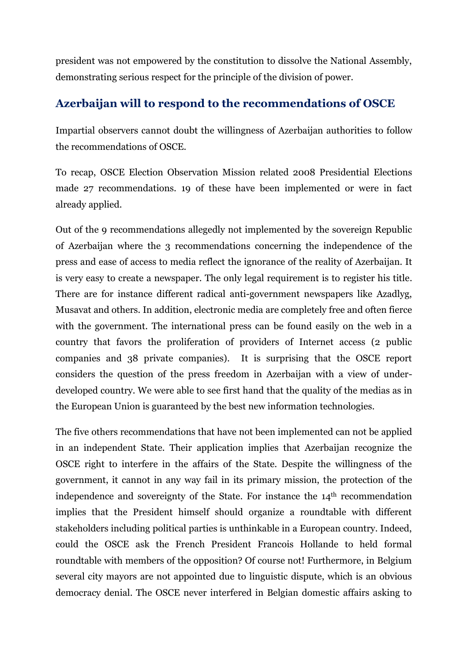president was not empowered by the constitution to dissolve the National Assembly, demonstrating serious respect for the principle of the division of power.

#### **Azerbaijan will to respond to the recommendations of OSCE**

Impartial observers cannot doubt the willingness of Azerbaijan authorities to follow the recommendations of OSCE.

To recap, OSCE Election Observation Mission related 2008 Presidential Elections made 27 recommendations. 19 of these have been implemented or were in fact already applied.

Out of the 9 recommendations allegedly not implemented by the sovereign Republic of Azerbaijan where the 3 recommendations concerning the independence of the press and ease of access to media reflect the ignorance of the reality of Azerbaijan. It is very easy to create a newspaper. The only legal requirement is to register his title. There are for instance different radical anti-government newspapers like Azadlyg, Musavat and others. In addition, electronic media are completely free and often fierce with the government. The international press can be found easily on the web in a country that favors the proliferation of providers of Internet access (2 public companies and 38 private companies). It is surprising that the OSCE report considers the question of the press freedom in Azerbaijan with a view of underdeveloped country. We were able to see first hand that the quality of the medias as in the European Union is guaranteed by the best new information technologies.

The five others recommendations that have not been implemented can not be applied in an independent State. Their application implies that Azerbaijan recognize the OSCE right to interfere in the affairs of the State. Despite the willingness of the government, it cannot in any way fail in its primary mission, the protection of the independence and sovereignty of the State. For instance the 14th recommendation implies that the President himself should organize a roundtable with different stakeholders including political parties is unthinkable in a European country. Indeed, could the OSCE ask the French President Francois Hollande to held formal roundtable with members of the opposition? Of course not! Furthermore, in Belgium several city mayors are not appointed due to linguistic dispute, which is an obvious democracy denial. The OSCE never interfered in Belgian domestic affairs asking to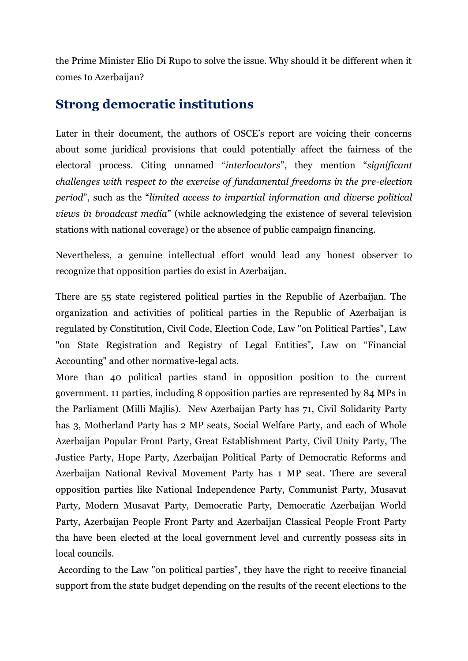the Prime Minister Elio Di Rupo to solve the issue. Why should it be different when it comes to Azerbaijan?

### **Strong democratic institutions**

Later in their document, the authors of OSCE's report are voicing their concerns about some juridical provisions that could potentially affect the fairness of the electoral process. Citing unnamed "*interlocutors*", they mention "*significant challenges with respect to the exercise of fundamental freedoms in the pre-election period*", such as the "*limited access to impartial information and diverse political views in broadcast media*" (while acknowledging the existence of several television stations with national coverage) or the absence of public campaign financing.

Nevertheless, a genuine intellectual effort would lead any honest observer to recognize that opposition parties do exist in Azerbaijan.

There are 55 state registered political parties in the Republic of Azerbaijan. The organization and activities of political parties in the Republic of Azerbaijan is regulated by Constitution, Civil Code, Election Code, Law "on Political Parties", Law "on State Registration and Registry of Legal Entities", Law on "Financial Accounting" and other normative-legal acts.

More than 40 political parties stand in opposition position to the current government. 11 parties, including 8 opposition parties are represented by 84 MPs in the Parliament (Milli Majlis). New Azerbaijan Party has 71, Civil Solidarity Party has 3, Motherland Party has 2 MP seats, Social Welfare Party, and each of Whole Azerbaijan Popular Front Party, Great Establishment Party, Civil Unity Party, The Justice Party, Hope Party, Azerbaijan Political Party of Democratic Reforms and Azerbaijan National Revival Movement Party has 1 MP seat. There are several opposition parties like National Independence Party, Communist Party, Musavat Party, Modern Musavat Party, Democratic Party, Democratic Azerbaijan World Party, Azerbaijan People Front Party and Azerbaijan Classical People Front Party tha have been elected at the local government level and currently possess sits in local councils.

According to the Law "on political parties", they have the right to receive financial support from the state budget depending on the results of the recent elections to the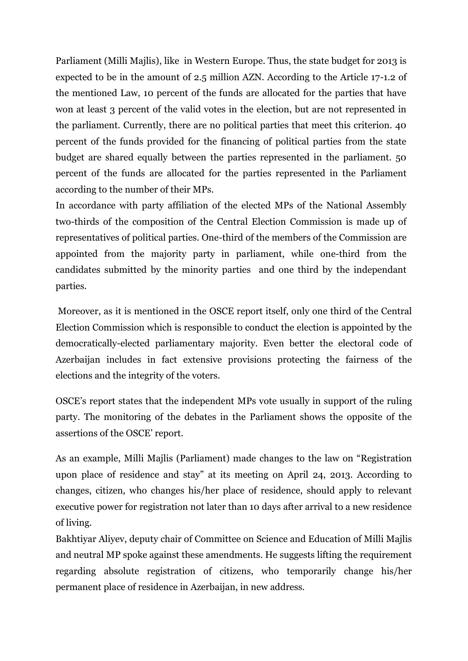Parliament (Milli Majlis), like in Western Europe. Thus, the state budget for 2013 is expected to be in the amount of 2.5 million AZN. According to the Article 17-1.2 of the mentioned Law, 10 percent of the funds are allocated for the parties that have won at least 3 percent of the valid votes in the election, but are not represented in the parliament. Currently, there are no political parties that meet this criterion. 40 percent of the funds provided for the financing of political parties from the state budget are shared equally between the parties represented in the parliament. 50 percent of the funds are allocated for the parties represented in the Parliament according to the number of their MPs.

In accordance with party affiliation of the elected MPs of the National Assembly two-thirds of the composition of the Central Election Commission is made up of representatives of political parties. One-third of the members of the Commission are appointed from the majority party in parliament, while one-third from the candidates submitted by the minority parties and one third by the independant parties.

Moreover, as it is mentioned in the OSCE report itself, only one third of the Central Election Commission which is responsible to conduct the election is appointed by the democratically-elected parliamentary majority. Even better the electoral code of Azerbaijan includes in fact extensive provisions protecting the fairness of the elections and the integrity of the voters.

OSCE's report states that the independent MPs vote usually in support of the ruling party. The monitoring of the debates in the Parliament shows the opposite of the assertions of the OSCE' report.

As an example, Milli Majlis (Parliament) made changes to the law on "Registration upon place of residence and stay" at its meeting on April 24, 2013. According to changes, citizen, who changes his/her place of residence, should apply to relevant executive power for registration not later than 10 days after arrival to a new residence of living.

Bakhtiyar Aliyev, deputy chair of Committee on Science and Education of Milli Majlis and neutral MP spoke against these amendments. He suggests lifting the requirement regarding absolute registration of citizens, who temporarily change his/her permanent place of residence in Azerbaijan, in new address.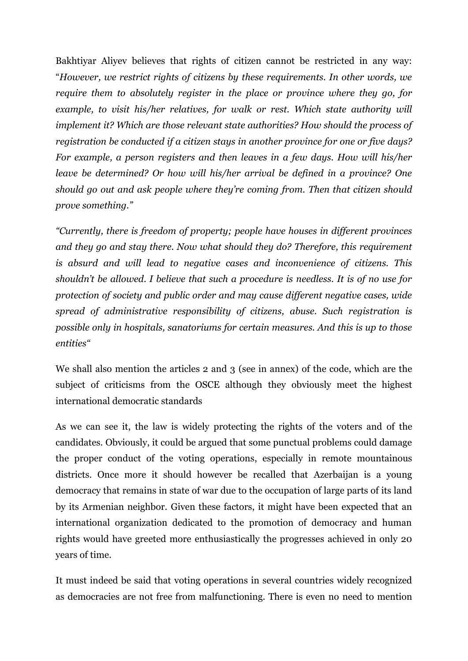Bakhtiyar Aliyev believes that rights of citizen cannot be restricted in any way: "*However, we restrict rights of citizens by these requirements. In other words, we require them to absolutely register in the place or province where they go, for*  example, to visit his/her relatives, for walk or rest. Which state authority will *implement it? Which are those relevant state authorities? How should the process of registration be conducted if a citizen stays in another province for one or five days? For example, a person registers and then leaves in a few days. How will his/her leave be determined? Or how will his/her arrival be defined in a province? One should go out and ask people where they're coming from. Then that citizen should prove something."*

*"Currently, there is freedom of property; people have houses in different provinces and they go and stay there. Now what should they do? Therefore, this requirement is absurd and will lead to negative cases and inconvenience of citizens. This shouldn't be allowed. I believe that such a procedure is needless. It is of no use for protection of society and public order and may cause different negative cases, wide spread of administrative responsibility of citizens, abuse. Such registration is possible only in hospitals, sanatoriums for certain measures. And this is up to those entities"*

We shall also mention the articles 2 and 3 (see in annex) of the code, which are the subject of criticisms from the OSCE although they obviously meet the highest international democratic standards

As we can see it, the law is widely protecting the rights of the voters and of the candidates. Obviously, it could be argued that some punctual problems could damage the proper conduct of the voting operations, especially in remote mountainous districts. Once more it should however be recalled that Azerbaijan is a young democracy that remains in state of war due to the occupation of large parts of its land by its Armenian neighbor. Given these factors, it might have been expected that an international organization dedicated to the promotion of democracy and human rights would have greeted more enthusiastically the progresses achieved in only 20 years of time.

It must indeed be said that voting operations in several countries widely recognized as democracies are not free from malfunctioning. There is even no need to mention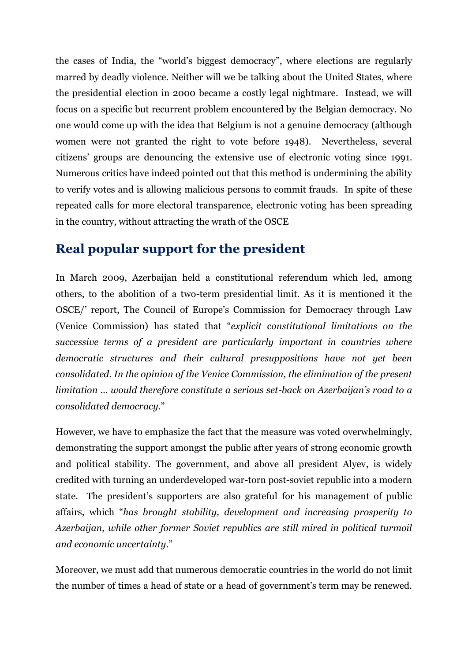the cases of India, the "world's biggest democracy", where elections are regularly marred by deadly violence. Neither will we be talking about the United States, where the presidential election in 2000 became a costly legal nightmare. Instead, we will focus on a specific but recurrent problem encountered by the Belgian democracy. No one would come up with the idea that Belgium is not a genuine democracy (although women were not granted the right to vote before 1948). Nevertheless, several citizens' groups are denouncing the extensive use of electronic voting since 1991. Numerous critics have indeed pointed out that this method is undermining the ability to verify votes and is allowing malicious persons to commit frauds. In spite of these repeated calls for more electoral transparence, electronic voting has been spreading in the country, without attracting the wrath of the OSCE

# **Real popular support for the president**

In March 2009, Azerbaijan held a constitutional referendum which led, among others, to the abolition of a two-term presidential limit. As it is mentioned it the OSCE/' report, The Council of Europe's Commission for Democracy through Law (Venice Commission) has stated that "*explicit constitutional limitations on the successive terms of a president are particularly important in countries where democratic structures and their cultural presuppositions have not yet been consolidated. In the opinion of the Venice Commission, the elimination of the present limitation … would therefore constitute a serious set-back on Azerbaijan's road to a consolidated democracy*."

However, we have to emphasize the fact that the measure was voted overwhelmingly, demonstrating the support amongst the public after years of strong economic growth and political stability. The government, and above all president Alyev, is widely credited with turning an underdeveloped war-torn post-soviet republic into a modern state. The president's supporters are also grateful for his management of public affairs, which "*has brought stability, development and increasing prosperity to Azerbaijan, while other former Soviet republics are still mired in political turmoil and economic uncertainty*."

Moreover, we must add that numerous democratic countries in the world do not limit the number of times a head of state or a head of government's term may be renewed.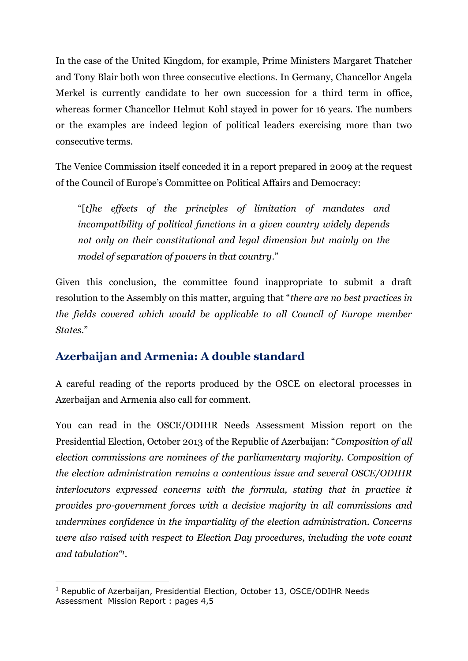In the case of the United Kingdom, for example, Prime Ministers Margaret Thatcher and Tony Blair both won three consecutive elections. In Germany, Chancellor Angela Merkel is currently candidate to her own succession for a third term in office, whereas former Chancellor Helmut Kohl stayed in power for 16 years. The numbers or the examples are indeed legion of political leaders exercising more than two consecutive terms.

The Venice Commission itself conceded it in a report prepared in 2009 at the request of the Council of Europe's Committee on Political Affairs and Democracy:

"[*t]he effects of the principles of limitation of mandates and incompatibility of political functions in a given country widely depends not only on their constitutional and legal dimension but mainly on the model of separation of powers in that country*."

Given this conclusion, the committee found inappropriate to submit a draft resolution to the Assembly on this matter, arguing that "*there are no best practices in the fields covered which would be applicable to all Council of Europe member States*."

#### **Azerbaijan and Armenia: A double standard**

A careful reading of the reports produced by the OSCE on electoral processes in Azerbaijan and Armenia also call for comment.

You can read in the OSCE/ODIHR Needs Assessment Mission report on the Presidential Election, October 2013 of the Republic of Azerbaijan: "*Composition of all election commissions are nominees of the parliamentary majority. Composition of the election administration remains a contentious issue and several OSCE/ODIHR interlocutors expressed concerns with the formula, stating that in practice it provides pro-government forces with a decisive majority in all commissions and undermines confidence in the impartiality of the election administration. Concerns were also raised with respect to Election Day procedures, including the vote count and tabulation"<sup>1</sup> .*

1

<sup>&</sup>lt;sup>1</sup> Republic of Azerbaijan, Presidential Election, October 13, OSCE/ODIHR Needs Assessment Mission Report : pages 4,5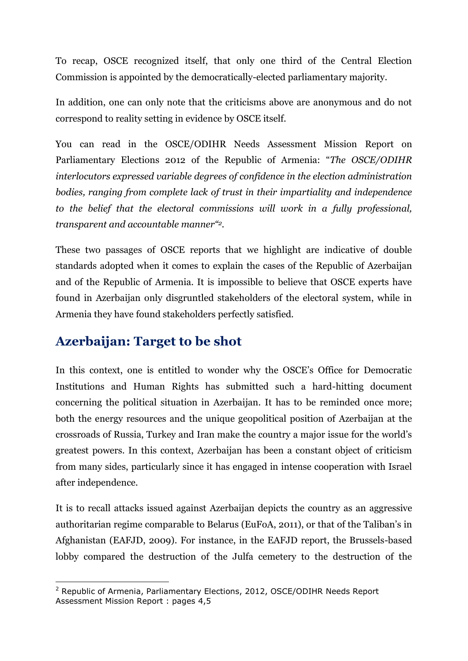To recap, OSCE recognized itself, that only one third of the Central Election Commission is appointed by the democratically-elected parliamentary majority.

In addition, one can only note that the criticisms above are anonymous and do not correspond to reality setting in evidence by OSCE itself.

You can read in the OSCE/ODIHR Needs Assessment Mission Report on Parliamentary Elections 2012 of the Republic of Armenia: "*The OSCE/ODIHR interlocutors expressed variable degrees of confidence in the election administration bodies, ranging from complete lack of trust in their impartiality and independence to the belief that the electoral commissions will work in a fully professional, transparent and accountable manner"2.*

These two passages of OSCE reports that we highlight are indicative of double standards adopted when it comes to explain the cases of the Republic of Azerbaijan and of the Republic of Armenia. It is impossible to believe that OSCE experts have found in Azerbaijan only disgruntled stakeholders of the electoral system, while in Armenia they have found stakeholders perfectly satisfied.

### **Azerbaijan: Target to be shot**

1

In this context, one is entitled to wonder why the OSCE's Office for Democratic Institutions and Human Rights has submitted such a hard-hitting document concerning the political situation in Azerbaijan. It has to be reminded once more; both the energy resources and the unique geopolitical position of Azerbaijan at the crossroads of Russia, Turkey and Iran make the country a major issue for the world's greatest powers. In this context, Azerbaijan has been a constant object of criticism from many sides, particularly since it has engaged in intense cooperation with Israel after independence.

It is to recall attacks issued against Azerbaijan depicts the country as an aggressive authoritarian regime comparable to Belarus (EuFoA, 2011), or that of the Taliban's in Afghanistan (EAFJD, 2009). For instance, in the EAFJD report, the Brussels-based lobby compared the destruction of the Julfa cemetery to the destruction of the

<sup>&</sup>lt;sup>2</sup> Republic of Armenia, Parliamentary Elections, 2012, OSCE/ODIHR Needs Report Assessment Mission Report : pages 4,5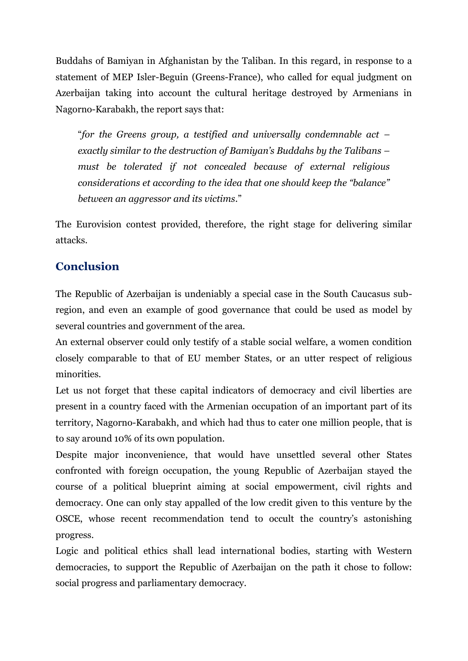Buddahs of Bamiyan in Afghanistan by the Taliban. In this regard, in response to a statement of MEP Isler-Beguin (Greens-France), who called for equal judgment on Azerbaijan taking into account the cultural heritage destroyed by Armenians in Nagorno-Karabakh, the report says that:

"*for the Greens group, a testified and universally condemnable act – exactly similar to the destruction of Bamiyan's Buddahs by the Talibans – must be tolerated if not concealed because of external religious considerations et according to the idea that one should keep the "balance" between an aggressor and its victims*."

The Eurovision contest provided, therefore, the right stage for delivering similar attacks.

#### **Conclusion**

The Republic of Azerbaijan is undeniably a special case in the South Caucasus subregion, and even an example of good governance that could be used as model by several countries and government of the area.

An external observer could only testify of a stable social welfare, a women condition closely comparable to that of EU member States, or an utter respect of religious minorities.

Let us not forget that these capital indicators of democracy and civil liberties are present in a country faced with the Armenian occupation of an important part of its territory, Nagorno-Karabakh, and which had thus to cater one million people, that is to say around 10% of its own population.

Despite major inconvenience, that would have unsettled several other States confronted with foreign occupation, the young Republic of Azerbaijan stayed the course of a political blueprint aiming at social empowerment, civil rights and democracy. One can only stay appalled of the low credit given to this venture by the OSCE, whose recent recommendation tend to occult the country's astonishing progress.

Logic and political ethics shall lead international bodies, starting with Western democracies, to support the Republic of Azerbaijan on the path it chose to follow: social progress and parliamentary democracy.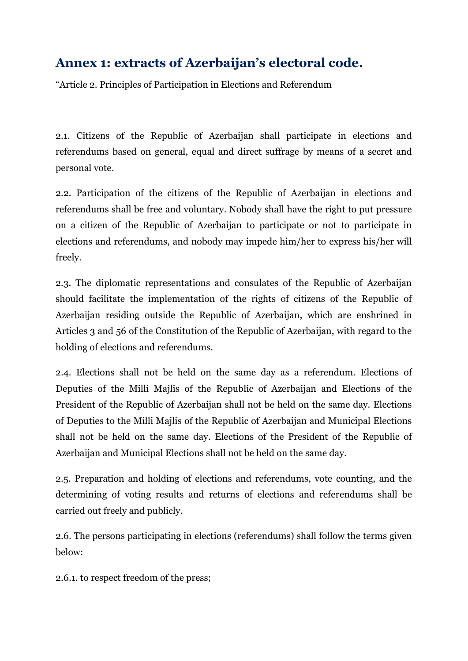# **Annex 1: extracts of Azerbaijan's electoral code.**

"Article 2. Principles of Participation in Elections and Referendum

2.1. Citizens of the Republic of Azerbaijan shall participate in elections and referendums based on general, equal and direct suffrage by means of a secret and personal vote.

2.2. Participation of the citizens of the Republic of Azerbaijan in elections and referendums shall be free and voluntary. Nobody shall have the right to put pressure on a citizen of the Republic of Azerbaijan to participate or not to participate in elections and referendums, and nobody may impede him/her to express his/her will freely.

2.3. The diplomatic representations and consulates of the Republic of Azerbaijan should facilitate the implementation of the rights of citizens of the Republic of Azerbaijan residing outside the Republic of Azerbaijan, which are enshrined in Articles 3 and 56 of the Constitution of the Republic of Azerbaijan, with regard to the holding of elections and referendums.

2.4. Elections shall not be held on the same day as a referendum. Elections of Deputies of the Milli Majlis of the Republic of Azerbaijan and Elections of the President of the Republic of Azerbaijan shall not be held on the same day. Elections of Deputies to the Milli Majlis of the Republic of Azerbaijan and Municipal Elections shall not be held on the same day. Elections of the President of the Republic of Azerbaijan and Municipal Elections shall not be held on the same day.

2.5. Preparation and holding of elections and referendums, vote counting, and the determining of voting results and returns of elections and referendums shall be carried out freely and publicly.

2.6. The persons participating in elections (referendums) shall follow the terms given below:

2.6.1. to respect freedom of the press;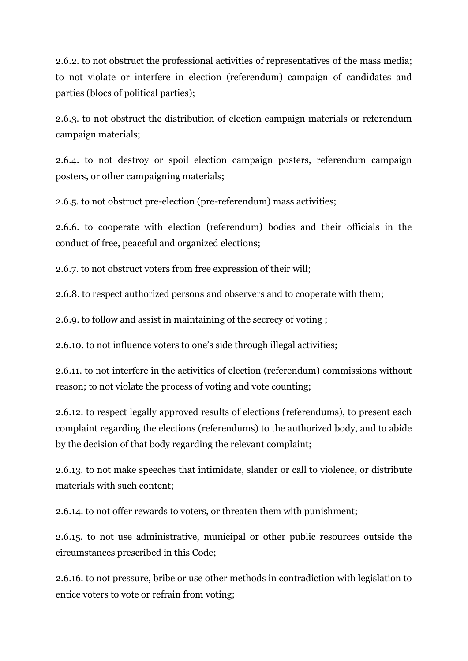2.6.2. to not obstruct the professional activities of representatives of the mass media; to not violate or interfere in election (referendum) campaign of candidates and parties (blocs of political parties);

2.6.3. to not obstruct the distribution of election campaign materials or referendum campaign materials;

2.6.4. to not destroy or spoil election campaign posters, referendum campaign posters, or other campaigning materials;

2.6.5. to not obstruct pre-election (pre-referendum) mass activities;

2.6.6. to cooperate with election (referendum) bodies and their officials in the conduct of free, peaceful and organized elections;

2.6.7. to not obstruct voters from free expression of their will;

2.6.8. to respect authorized persons and observers and to cooperate with them;

2.6.9. to follow and assist in maintaining of the secrecy of voting ;

2.6.10. to not influence voters to one's side through illegal activities;

2.6.11. to not interfere in the activities of election (referendum) commissions without reason; to not violate the process of voting and vote counting;

2.6.12. to respect legally approved results of elections (referendums), to present each complaint regarding the elections (referendums) to the authorized body, and to abide by the decision of that body regarding the relevant complaint;

2.6.13. to not make speeches that intimidate, slander or call to violence, or distribute materials with such content;

2.6.14. to not offer rewards to voters, or threaten them with punishment;

2.6.15. to not use administrative, municipal or other public resources outside the circumstances prescribed in this Code;

2.6.16. to not pressure, bribe or use other methods in contradiction with legislation to entice voters to vote or refrain from voting;